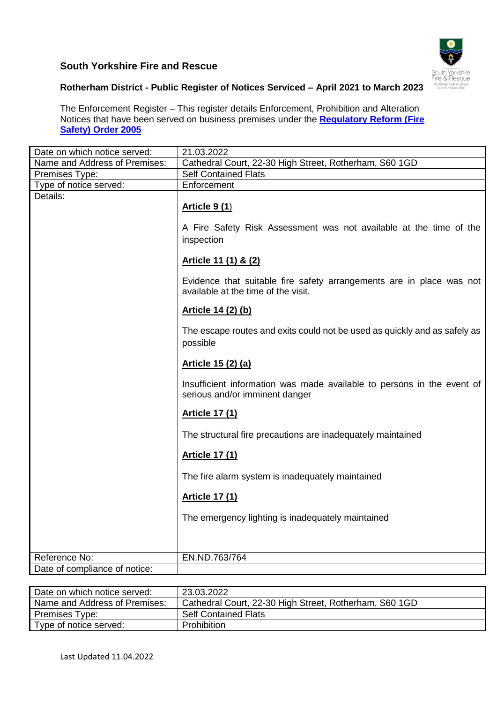## **South Yorkshire Fire and Rescue**



## **Rotherham District - Public Register of Notices Serviced – April 2021 to March 2023**

The Enforcement Register – This register details Enforcement, Prohibition and Alteration Notices that have been served on business premises under the **[Regulatory Reform \(Fire](http://www.legislation.gov.uk/uksi/2005/1541/contents/made)  [Safety\) Order 2005](http://www.legislation.gov.uk/uksi/2005/1541/contents/made)**

| Date on which notice served:  | 21.03.2022                                                                                                  |
|-------------------------------|-------------------------------------------------------------------------------------------------------------|
| Name and Address of Premises: | Cathedral Court, 22-30 High Street, Rotherham, S60 1GD                                                      |
| Premises Type:                | <b>Self Contained Flats</b>                                                                                 |
| Type of notice served:        | Enforcement                                                                                                 |
| Details:                      | <b>Article 9 (1)</b><br>A Fire Safety Risk Assessment was not available at the time of the<br>inspection    |
|                               | Article 11 (1) & (2)                                                                                        |
|                               | Evidence that suitable fire safety arrangements are in place was not<br>available at the time of the visit. |
|                               | Article 14 (2) (b)                                                                                          |
|                               | The escape routes and exits could not be used as quickly and as safely as<br>possible                       |
|                               | Article 15 (2) (a)                                                                                          |
|                               | Insufficient information was made available to persons in the event of<br>serious and/or imminent danger    |
|                               | <b>Article 17 (1)</b>                                                                                       |
|                               | The structural fire precautions are inadequately maintained                                                 |
|                               | <b>Article 17 (1)</b>                                                                                       |
|                               | The fire alarm system is inadequately maintained                                                            |
|                               | <b>Article 17 (1)</b>                                                                                       |
|                               | The emergency lighting is inadequately maintained                                                           |
|                               |                                                                                                             |
| Reference No:                 | EN.ND.763/764                                                                                               |
| Date of compliance of notice: |                                                                                                             |

| Date on which notice served:  | 23.03.2022                                             |
|-------------------------------|--------------------------------------------------------|
| Name and Address of Premises: | Cathedral Court, 22-30 High Street, Rotherham, S60 1GD |
| Premises Type:                | <b>Self Contained Flats</b>                            |
| Type of notice served:        | Prohibition                                            |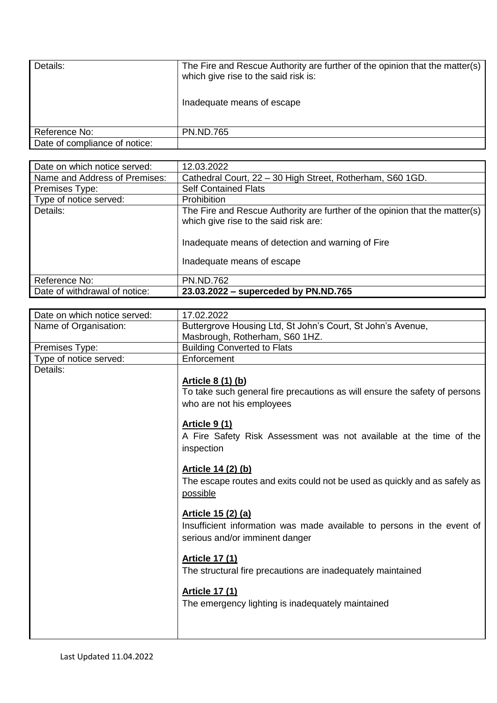| Inadequate means of escape |
|----------------------------|
|                            |
|                            |
| <b>PN.ND.765</b>           |

| Date on which notice served:  | 12.03.2022                                                                                                                                                                                              |
|-------------------------------|---------------------------------------------------------------------------------------------------------------------------------------------------------------------------------------------------------|
| Name and Address of Premises: | Cathedral Court, 22 - 30 High Street, Rotherham, S60 1GD.                                                                                                                                               |
| Premises Type:                | <b>Self Contained Flats</b>                                                                                                                                                                             |
| Type of notice served:        | <b>Prohibition</b>                                                                                                                                                                                      |
| Details:                      | The Fire and Rescue Authority are further of the opinion that the matter(s)<br>which give rise to the said risk are:<br>Inadequate means of detection and warning of Fire<br>Inadequate means of escape |
| Reference No:                 | <b>PN.ND.762</b>                                                                                                                                                                                        |
| Date of withdrawal of notice: | 23.03.2022 – superceded by PN.ND.765                                                                                                                                                                    |

| Date on which notice served: | 17.02.2022                                                                 |
|------------------------------|----------------------------------------------------------------------------|
| Name of Organisation:        | Buttergrove Housing Ltd, St John's Court, St John's Avenue,                |
|                              | Masbrough, Rotherham, S60 1HZ.                                             |
| Premises Type:               | <b>Building Converted to Flats</b>                                         |
| Type of notice served:       | Enforcement                                                                |
| Details:                     |                                                                            |
|                              | <u>Article 8 (1) (b)</u>                                                   |
|                              | To take such general fire precautions as will ensure the safety of persons |
|                              | who are not his employees                                                  |
|                              |                                                                            |
|                              | <u>Article 9 (1)</u>                                                       |
|                              | A Fire Safety Risk Assessment was not available at the time of the         |
|                              | inspection                                                                 |
|                              |                                                                            |
|                              | <u>Article 14 (2) (b)</u>                                                  |
|                              | The escape routes and exits could not be used as quickly and as safely as  |
|                              | possible                                                                   |
|                              |                                                                            |
|                              | Article 15 (2) (a)                                                         |
|                              | Insufficient information was made available to persons in the event of     |
|                              | serious and/or imminent danger                                             |
|                              |                                                                            |
|                              | <b>Article 17 (1)</b>                                                      |
|                              | The structural fire precautions are inadequately maintained                |
|                              |                                                                            |
|                              | <b>Article 17 (1)</b>                                                      |
|                              | The emergency lighting is inadequately maintained                          |
|                              |                                                                            |
|                              |                                                                            |
|                              |                                                                            |